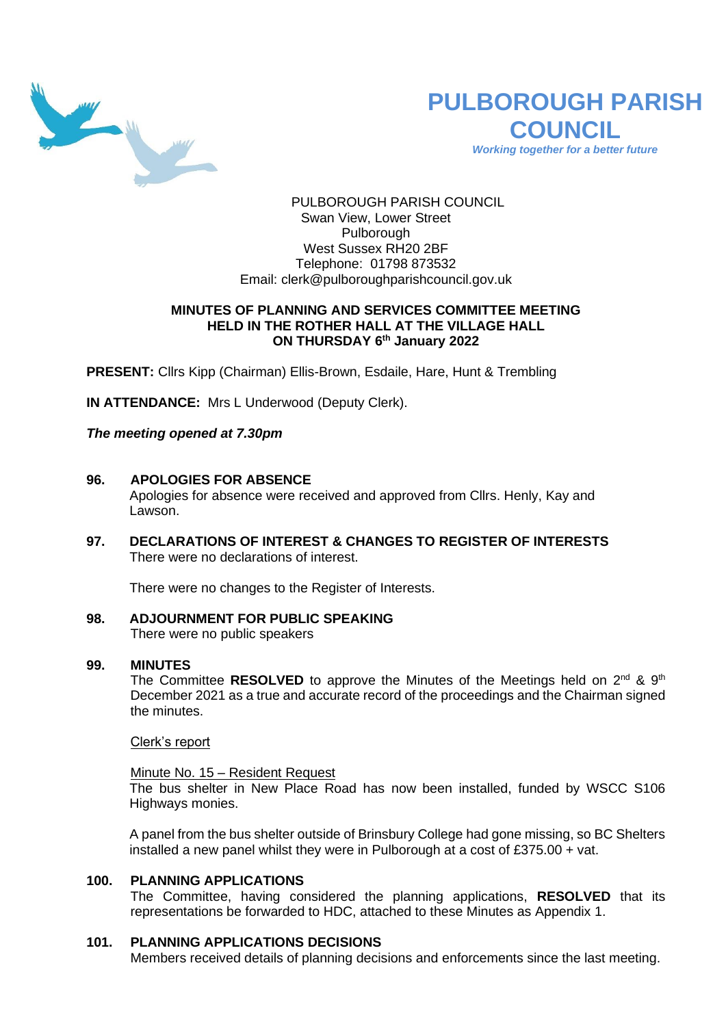

# **PULBOROUGH PARISH COUNCIL** *Working together for a better future*

PULBOROUGH PARISH COUNCIL Swan View, Lower Street Pulborough West Sussex RH20 2BF Telephone: 01798 873532 Email: [clerk@pulboroughparishcouncil.gov.uk](mailto:clerk@pulboroughparishcouncil.gov.uk)

## **MINUTES OF PLANNING AND SERVICES COMMITTEE MEETING HELD IN THE ROTHER HALL AT THE VILLAGE HALL ON THURSDAY 6 th January 2022**

**PRESENT:** Cllrs Kipp (Chairman) Ellis-Brown, Esdaile, Hare, Hunt & Trembling

**IN ATTENDANCE:** Mrs L Underwood (Deputy Clerk).

*The meeting opened at 7.30pm* 

#### **96. APOLOGIES FOR ABSENCE**

Apologies for absence were received and approved from Cllrs. Henly, Kay and Lawson.

**97. DECLARATIONS OF INTEREST & CHANGES TO REGISTER OF INTERESTS** There were no declarations of interest.

There were no changes to the Register of Interests.

**98. ADJOURNMENT FOR PUBLIC SPEAKING** There were no public speakers

#### **99. MINUTES**

The Committee RESOLVED to approve the Minutes of the Meetings held on 2<sup>nd</sup> & 9<sup>th</sup> December 2021 as a true and accurate record of the proceedings and the Chairman signed the minutes.

Clerk's report

# Minute No. 15 – Resident Request

The bus shelter in New Place Road has now been installed, funded by WSCC S106 Highways monies.

A panel from the bus shelter outside of Brinsbury College had gone missing, so BC Shelters installed a new panel whilst they were in Pulborough at a cost of £375.00 + vat.

# **100. PLANNING APPLICATIONS**

The Committee, having considered the planning applications, **RESOLVED** that its representations be forwarded to HDC, attached to these Minutes as Appendix 1.

#### **101. PLANNING APPLICATIONS DECISIONS**

Members received details of planning decisions and enforcements since the last meeting.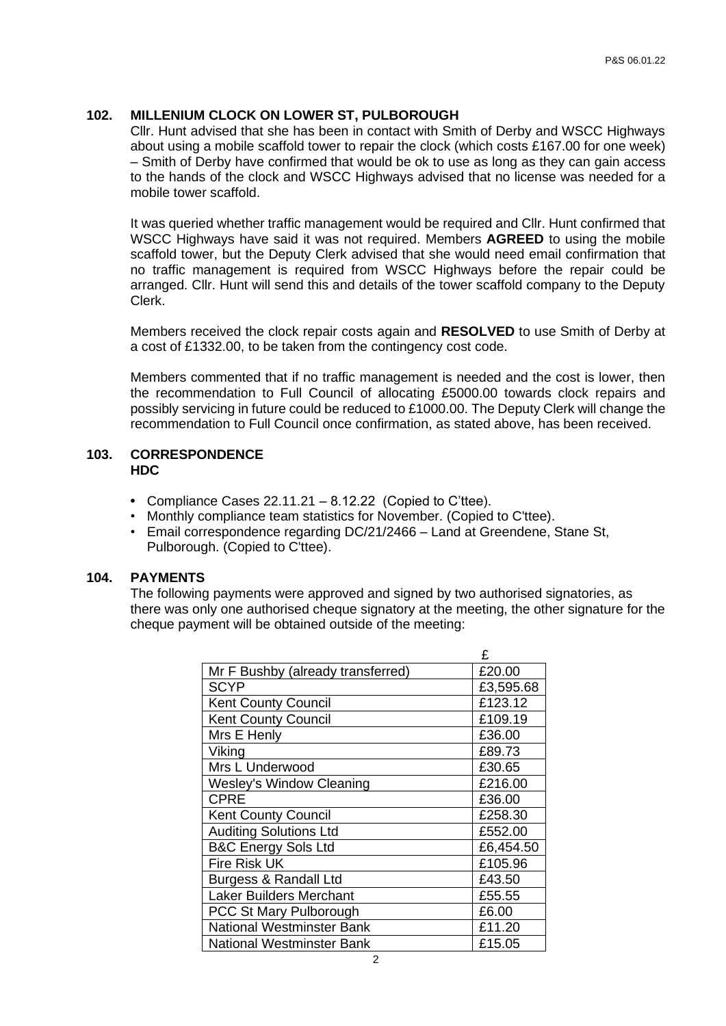#### **102. MILLENIUM CLOCK ON LOWER ST, PULBOROUGH**

Cllr. Hunt advised that she has been in contact with Smith of Derby and WSCC Highways about using a mobile scaffold tower to repair the clock (which costs £167.00 for one week) – Smith of Derby have confirmed that would be ok to use as long as they can gain access to the hands of the clock and WSCC Highways advised that no license was needed for a mobile tower scaffold.

It was queried whether traffic management would be required and Cllr. Hunt confirmed that WSCC Highways have said it was not required. Members **AGREED** to using the mobile scaffold tower, but the Deputy Clerk advised that she would need email confirmation that no traffic management is required from WSCC Highways before the repair could be arranged. Cllr. Hunt will send this and details of the tower scaffold company to the Deputy Clerk.

Members received the clock repair costs again and **RESOLVED** to use Smith of Derby at a cost of £1332.00, to be taken from the contingency cost code.

Members commented that if no traffic management is needed and the cost is lower, then the recommendation to Full Council of allocating £5000.00 towards clock repairs and possibly servicing in future could be reduced to £1000.00. The Deputy Clerk will change the recommendation to Full Council once confirmation, as stated above, has been received.

#### **103. CORRESPONDENCE HDC**

- **•** Compliance Cases 22.11.21 8.12.22 (Copied to C'ttee).
- Monthly compliance team statistics for November. (Copied to C'ttee).
- Email correspondence regarding DC/21/2466 Land at Greendene, Stane St, Pulborough. (Copied to C'ttee).

#### **104. PAYMENTS**

The following payments were approved and signed by two authorised signatories, as there was only one authorised cheque signatory at the meeting, the other signature for the cheque payment will be obtained outside of the meeting:

|                                   | £         |
|-----------------------------------|-----------|
| Mr F Bushby (already transferred) | £20.00    |
| <b>SCYP</b>                       | £3,595.68 |
| <b>Kent County Council</b>        | £123.12   |
| <b>Kent County Council</b>        | £109.19   |
| Mrs E Henly                       | £36.00    |
| Viking                            | £89.73    |
| Mrs L Underwood                   | £30.65    |
| <b>Wesley's Window Cleaning</b>   | £216.00   |
| <b>CPRE</b>                       | £36.00    |
| <b>Kent County Council</b>        | £258.30   |
| <b>Auditing Solutions Ltd</b>     | £552.00   |
| <b>B&amp;C Energy Sols Ltd</b>    | £6,454.50 |
| <b>Fire Risk UK</b>               | £105.96   |
| Burgess & Randall Ltd             | £43.50    |
| <b>Laker Builders Merchant</b>    | £55.55    |
| PCC St Mary Pulborough            | £6.00     |
| <b>National Westminster Bank</b>  | £11.20    |
| <b>National Westminster Bank</b>  | £15.05    |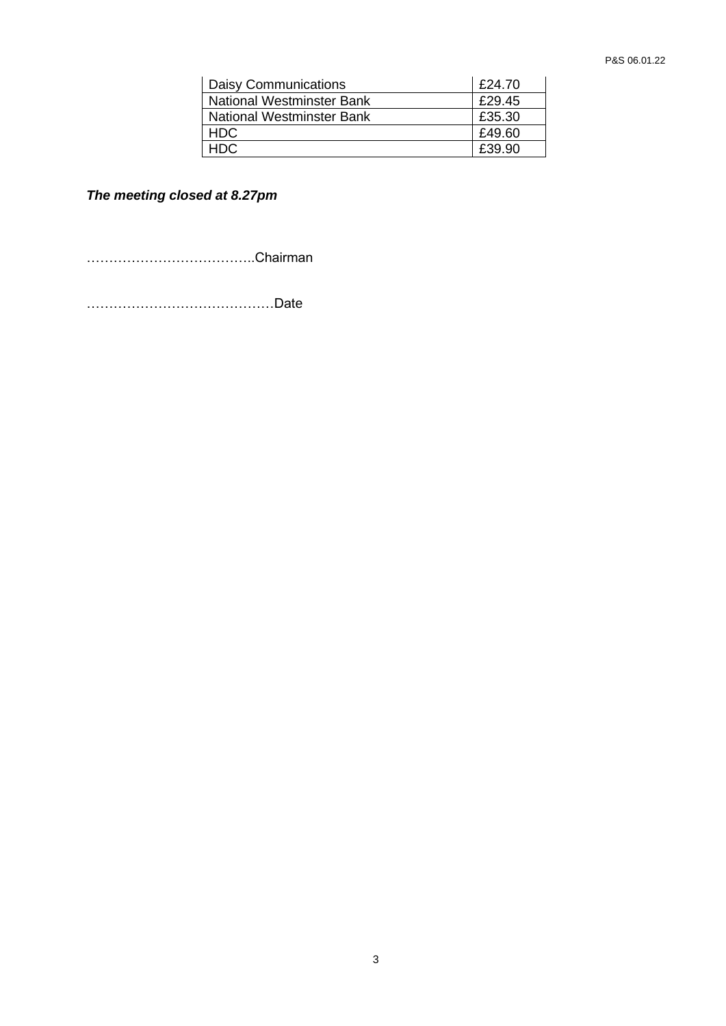| Daisy Communications      | £24.70 |
|---------------------------|--------|
| National Westminster Bank | £29.45 |
| National Westminster Bank | £35.30 |
| HDC.                      | £49.60 |
| HDC.                      | £39.90 |

*The meeting closed at 8.27pm*

………………………………..Chairman

……………………………………Date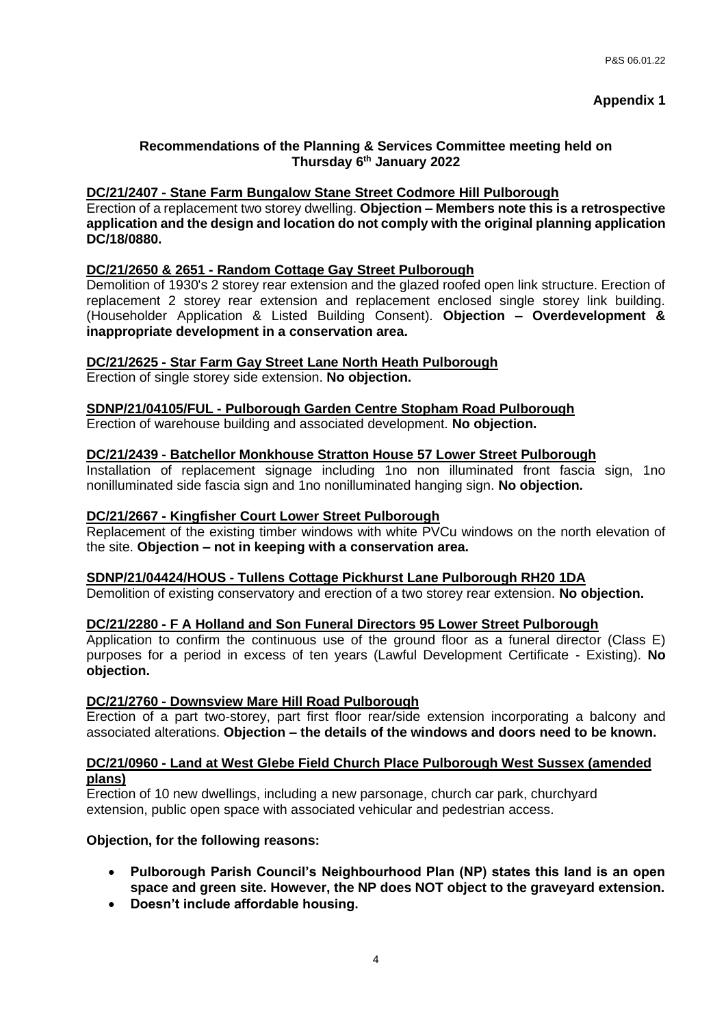# **Recommendations of the Planning & Services Committee meeting held on Thursday 6 th January 2022**

# **DC/21/2407 - Stane Farm Bungalow Stane Street Codmore Hill Pulborough**

Erection of a replacement two storey dwelling. **Objection – Members note this is a retrospective application and the design and location do not comply with the original planning application DC/18/0880.**

# **DC/21/2650 & 2651 - Random Cottage Gay Street Pulborough**

Demolition of 1930's 2 storey rear extension and the glazed roofed open link structure. Erection of replacement 2 storey rear extension and replacement enclosed single storey link building. (Householder Application & Listed Building Consent). **Objection – Overdevelopment & inappropriate development in a conservation area.**

# **DC/21/2625 - Star Farm Gay Street Lane North Heath Pulborough**

Erection of single storey side extension. **No objection.**

# **SDNP/21/04105/FUL - Pulborough Garden Centre Stopham Road Pulborough**

Erection of warehouse building and associated development. **No objection.**

# **DC/21/2439 - Batchellor Monkhouse Stratton House 57 Lower Street Pulborough**

Installation of replacement signage including 1no non illuminated front fascia sign, 1no nonilluminated side fascia sign and 1no nonilluminated hanging sign. **No objection.**

# **DC/21/2667 - Kingfisher Court Lower Street Pulborough**

Replacement of the existing timber windows with white PVCu windows on the north elevation of the site. **Objection – not in keeping with a conservation area.**

## **SDNP/21/04424/HOUS - Tullens Cottage Pickhurst Lane Pulborough RH20 1DA**

Demolition of existing conservatory and erection of a two storey rear extension. **No objection.**

## **DC/21/2280 - F A Holland and Son Funeral Directors 95 Lower Street Pulborough**

Application to confirm the continuous use of the ground floor as a funeral director (Class E) purposes for a period in excess of ten years (Lawful Development Certificate - Existing). **No objection.**

## **DC/21/2760 - Downsview Mare Hill Road Pulborough**

Erection of a part two-storey, part first floor rear/side extension incorporating a balcony and associated alterations. **Objection – the details of the windows and doors need to be known.**

#### **DC/21/0960 - Land at West Glebe Field Church Place Pulborough West Sussex (amended plans)**

Erection of 10 new dwellings, including a new parsonage, church car park, churchyard extension, public open space with associated vehicular and pedestrian access.

## **Objection, for the following reasons:**

- **Pulborough Parish Council's Neighbourhood Plan (NP) states this land is an open space and green site. However, the NP does NOT object to the graveyard extension.**
- **Doesn't include affordable housing.**